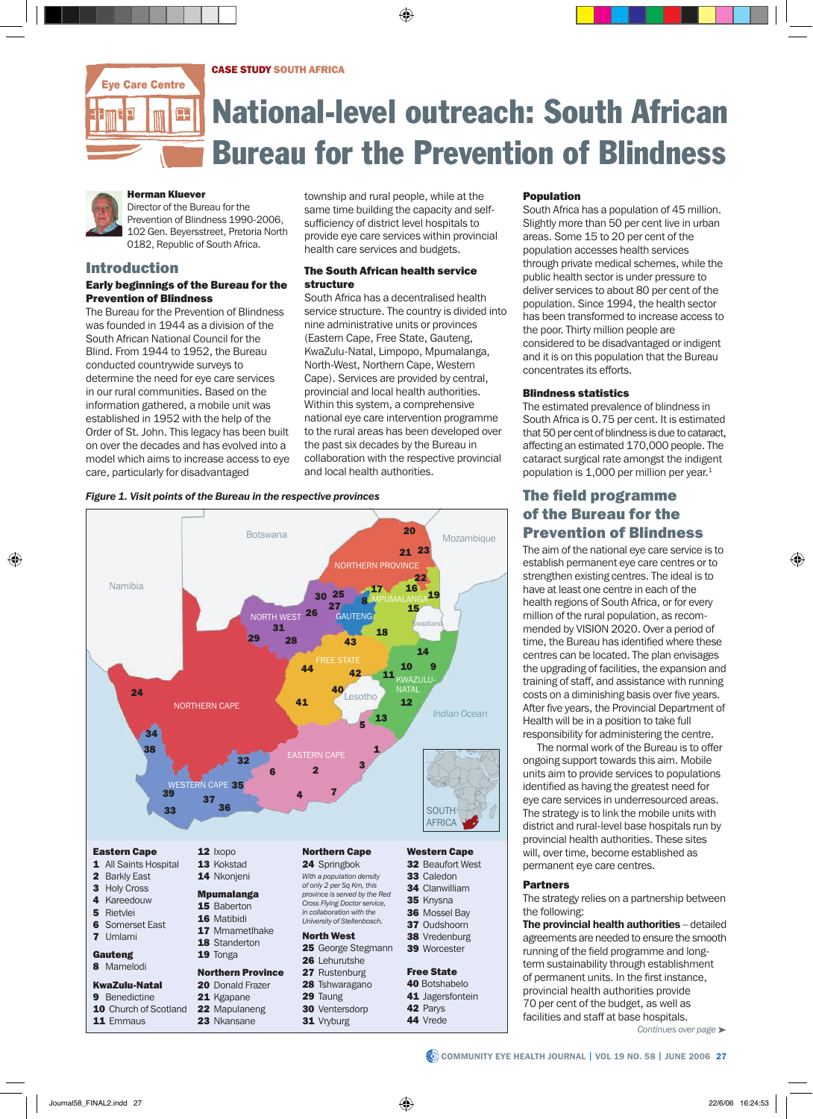CASE STUDY SOUTH AFRICA



# National-level outreach: South African Bureau for the Prevention of Blindness



#### Herman Kluever Director of the Bureau for the

Prevention of Blindness 1990-2006, 102 Gen. Beyersstreet, Pretoria North 0182, Republic of South Africa.

## Introduction

11 Emmaus

23 Nkansane

#### Early beginnings of the Bureau for the Prevention of Blindness

The Bureau for the Prevention of Blindness was founded in 1944 as a division of the South African National Council for the Blind. From 1944 to 1952, the Bureau conducted countrywide surveys to determine the need for eye care services in our rural communities. Based on the information gathered, a mobile unit was established in 1952 with the help of the Order of St. John. This legacy has been built on over the decades and has evolved into a model which aims to increase access to eye care, particularly for disadvantaged

township and rural people, while at the same time building the capacity and selfsufficiency of district level hospitals to provide eye care services within provincial health care services and budgets.

#### The South African health service structure

South Africa has a decentralised health service structure. The country is divided into nine administrative units or provinces (Eastern Cape, Free State, Gauteng, KwaZulu-Natal, Limpopo, Mpumalanga, North-West, Northern Cape, Western Cape). Services are provided by central, provincial and local health authorities. Within this system, a comprehensive national eye care intervention programme to the rural areas has been developed over the past six decades by the Bureau in collaboration with the respective provincial and local health authorities.

### *Figure 1. Visit points of the Bureau in the respective provinces*



31 Vryburg

44 Vrede

#### **Population**

South Africa has a population of 45 million. Slightly more than 50 per cent live in urban areas. Some 15 to 20 per cent of the population accesses health services through private medical schemes, while the public health sector is under pressure to deliver services to about 80 per cent of the population. Since 1994, the health sector has been transformed to increase access to the poor. Thirty million people are considered to be disadvantaged or indigent and it is on this population that the Bureau concentrates its efforts.

#### Blindness statistics

The estimated prevalence of blindness in South Africa is 0.75 per cent. It is estimated that 50 per cent of blindness is due to cataract, affecting an estimated 170,000 people. The cataract surgical rate amongst the indigent population is 1,000 per million per year.<sup>1</sup>

## The field programme of the Bureau for the Prevention of Blindness

The aim of the national eye care service is to establish permanent eye care centres or to strengthen existing centres. The ideal is to have at least one centre in each of the health regions of South Africa, or for every million of the rural population, as recommended by VISION 2020. Over a period of time, the Bureau has identified where these centres can be located. The plan envisages the upgrading of facilities, the expansion and training of staff, and assistance with running costs on a diminishing basis over five years. After five years, the Provincial Department of Health will be in a position to take full responsibility for administering the centre.

The normal work of the Bureau is to offer ongoing support towards this aim. Mobile units aim to provide services to populations identified as having the greatest need for eye care services in underresourced areas. The strategy is to link the mobile units with district and rural-level base hospitals run by provincial health authorities. These sites will, over time, become established as permanent eye care centres.

#### Partners

The strategy relies on a partnership between the following:

The provincial health authorities - detailed agreements are needed to ensure the smooth running of the field programme and longterm sustainability through establishment of permanent units. In the first instance, provincial health authorities provide 70 per cent of the budget, as well as facilities and staff at base hospitals.

*Continues over page* ➤